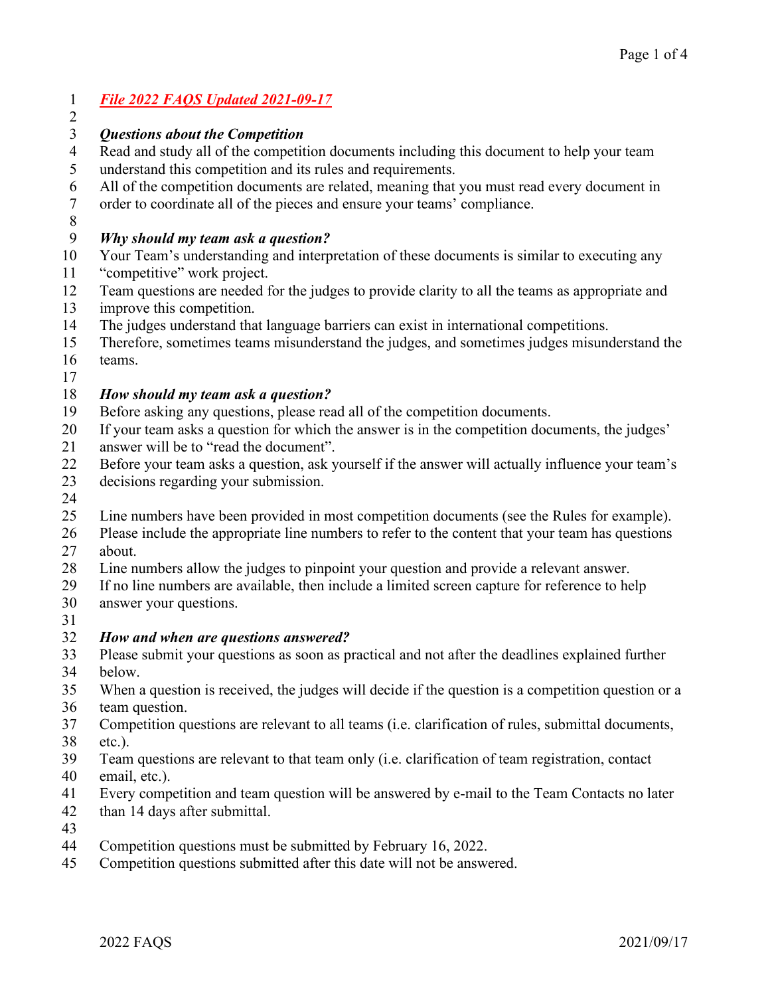## *File 2022 FAQS Updated 2021-09-17*

### *Questions about the Competition*

- Read and study all of the competition documents including this document to help your team understand this competition and its rules and requirements.
- All of the competition documents are related, meaning that you must read every document in
- order to coordinate all of the pieces and ensure your teams' compliance.
- 

 $\mathfrak{D}$ 

### *Why should my team ask a question?*

- Your Team's understanding and interpretation of these documents is similar to executing any
- "competitive" work project.
- Team questions are needed for the judges to provide clarity to all the teams as appropriate and
- improve this competition.
- The judges understand that language barriers can exist in international competitions.
- Therefore, sometimes teams misunderstand the judges, and sometimes judges misunderstand the
- teams.
- 

### *How should my team ask a question?*

- Before asking any questions, please read all of the competition documents.
- If your team asks a question for which the answer is in the competition documents, the judges'
- answer will be to "read the document".
- Before your team asks a question, ask yourself if the answer will actually influence your team's
- decisions regarding your submission.
- 
- Line numbers have been provided in most competition documents (see the Rules for example).
- Please include the appropriate line numbers to refer to the content that your team has questions about.
- Line numbers allow the judges to pinpoint your question and provide a relevant answer.
- If no line numbers are available, then include a limited screen capture for reference to help
- answer your questions.
- 

## *How and when are questions answered?*

- Please submit your questions as soon as practical and not after the deadlines explained further below.
- When a question is received, the judges will decide if the question is a competition question or a
- team question.
- Competition questions are relevant to all teams (i.e. clarification of rules, submittal documents,
- etc.).
- Team questions are relevant to that team only (i.e. clarification of team registration, contact
- email, etc.).
- Every competition and team question will be answered by e-mail to the Team Contacts no later
- than 14 days after submittal.
- 
- Competition questions must be submitted by February 16, 2022.
- Competition questions submitted after this date will not be answered.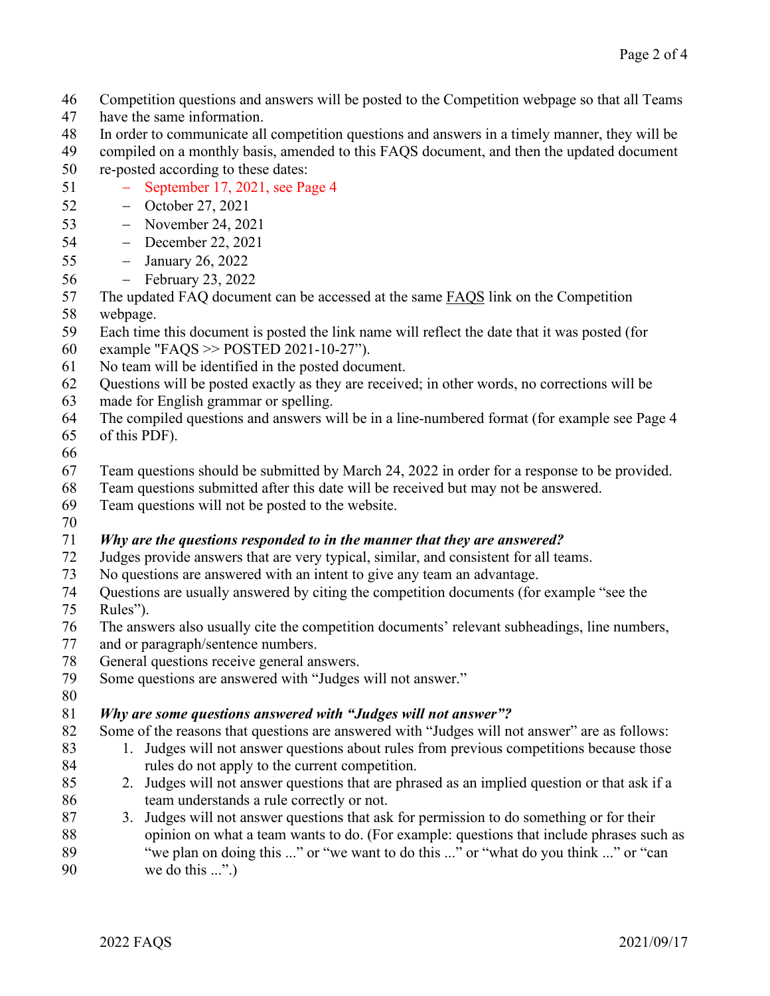- Competition questions and answers will be posted to the Competition webpage so that all Teams
- have the same information.
- In order to communicate all competition questions and answers in a timely manner, they will be
- compiled on a monthly basis, amended to this FAQS document, and then the updated document re-posted according to these dates:
- − September 17, 2021, see Page 4
- − October 27, 2021
- − November 24, 2021
- − December 22, 2021
- − January 26, 2022
- − February 23, 2022
- The updated FAQ document can be accessed at the same FAQS link on the Competition
- webpage.
- Each time this document is posted the link name will reflect the date that it was posted (for
- example "FAQS >> POSTED 2021-10-27").
- No team will be identified in the posted document.
- Questions will be posted exactly as they are received; in other words, no corrections will be
- made for English grammar or spelling.
- The compiled questions and answers will be in a line-numbered format (for example see Page 4
- of this PDF).
- 
- Team questions should be submitted by March 24, 2022 in order for a response to be provided.
- Team questions submitted after this date will be received but may not be answered.
- Team questions will not be posted to the website.
- 

# *Why are the questions responded to in the manner that they are answered?*

- Judges provide answers that are very typical, similar, and consistent for all teams.
- No questions are answered with an intent to give any team an advantage.
- Questions are usually answered by citing the competition documents (for example "see the Rules").
- The answers also usually cite the competition documents' relevant subheadings, line numbers,
- and or paragraph/sentence numbers.
- General questions receive general answers.
- Some questions are answered with "Judges will not answer."
- 

# *Why are some questions answered with "Judges will not answer"?*

- 82 Some of the reasons that questions are answered with "Judges will not answer" are as follows:
- 83 1. Judges will not answer questions about rules from previous competitions because those rules do not apply to the current competition.
- 2. Judges will not answer questions that are phrased as an implied question or that ask if a 86 team understands a rule correctly or not.
- 3. Judges will not answer questions that ask for permission to do something or for their opinion on what a team wants to do. (For example: questions that include phrases such as "we plan on doing this ..." or "we want to do this ..." or "what do you think ..." or "can we do this ...".)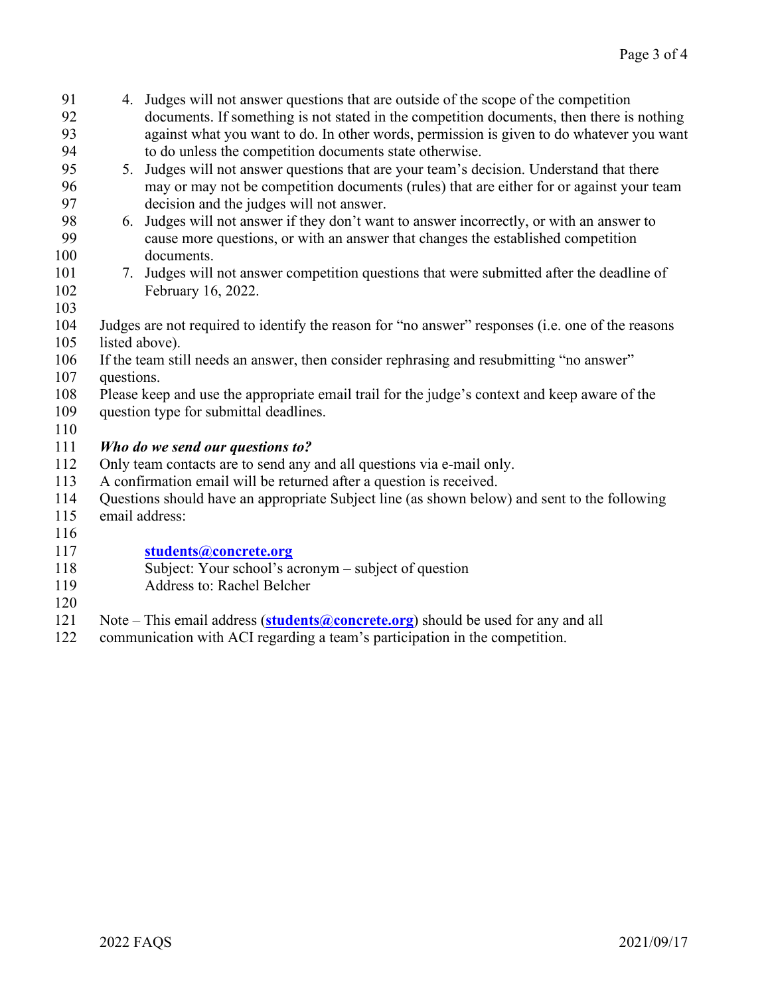- 4. Judges will not answer questions that are outside of the scope of the competition documents. If something is not stated in the competition documents, then there is nothing against what you want to do. In other words, permission is given to do whatever you want to do unless the competition documents state otherwise.
- 5. Judges will not answer questions that are your team's decision. Understand that there may or may not be competition documents (rules) that are either for or against your team decision and the judges will not answer.
- 6. Judges will not answer if they don't want to answer incorrectly, or with an answer to cause more questions, or with an answer that changes the established competition documents.
- 7. Judges will not answer competition questions that were submitted after the deadline of February 16, 2022.
- 
- Judges are not required to identify the reason for "no answer" responses (i.e. one of the reasons listed above).
- If the team still needs an answer, then consider rephrasing and resubmitting "no answer"
- questions.
- Please keep and use the appropriate email trail for the judge's context and keep aware of the
- question type for submittal deadlines.
- 

# *Who do we send our questions to?*

- Only team contacts are to send any and all questions via e-mail only.
- A confirmation email will be returned after a question is received.
- Questions should have an appropriate Subject line (as shown below) and sent to the following
- email address:
- 

# **[students@concrete.org](mailto:students@concrete.org)**

- Subject: Your school's acronym subject of question
- Address to: Rachel Belcher
- 
- 121 Note This email address (**[students@concrete.org](mailto:students@concrete.org)**) should be used for any and all communication with ACI regarding a team's participation in the competition.
- communication with ACI regarding a team's participation in the competition.